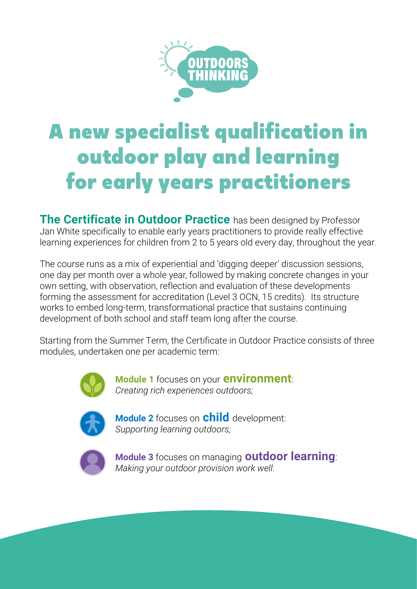

# A new specialist qualification in outdoor play and learning for early years practitioners

**The Certificate in Outdoor Practice** has been designed by Professor Jan White specifically to enable early years practitioners to provide really effective learning experiences for children from 2 to 5 years old every day, throughout the year.

The course runs as a mix of experiential and 'digging deeper' discussion sessions, one day per month over a whole year, followed by making concrete changes in your own setting, with observation, reflection and evaluation of these developments forming the assessment for accreditation (Level 3 OCN, 15 credits). Its structure works to embed long-term, transformational practice that sustains continuing development of both school and staff team long after the course.

Starting from the Summer Term, the Certificate in Outdoor Practice consists of three modules, undertaken one per academic term:



 **Module 1** focuses on your **environment**:  *Creating rich experiences outdoors;*



 **Module 2** focuses on **child** development:  *Supporting learning outdoors;*



 **Module 3** focuses on managing **outdoor learning**: *Making your outdoor provision work well.*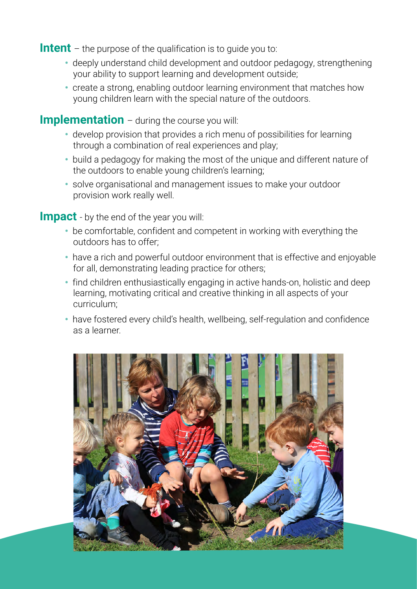**Intent** – the purpose of the qualification is to quide you to:

- ꞏ deeply understand child development and outdoor pedagogy, strengthening your ability to support learning and development outside;
- ꞏ create a strong, enabling outdoor learning environment that matches how young children learn with the special nature of the outdoors.

#### **Implementation** – during the course you will:

- ꞏ develop provision that provides a rich menu of possibilities for learning through a combination of real experiences and play;
- ꞏ build a pedagogy for making the most of the unique and different nature of the outdoors to enable young children's learning;
- ꞏ solve organisational and management issues to make your outdoor provision work really well.

**Impact** - by the end of the year you will:

- be comfortable, confident and competent in working with everything the outdoors has to offer;
- have a rich and powerful outdoor environment that is effective and enjoyable for all, demonstrating leading practice for others;
- find children enthusiastically engaging in active hands-on, holistic and deep learning, motivating critical and creative thinking in all aspects of your curriculum;
- ꞏ have fostered every child's health, wellbeing, self-regulation and confidence as a learner.